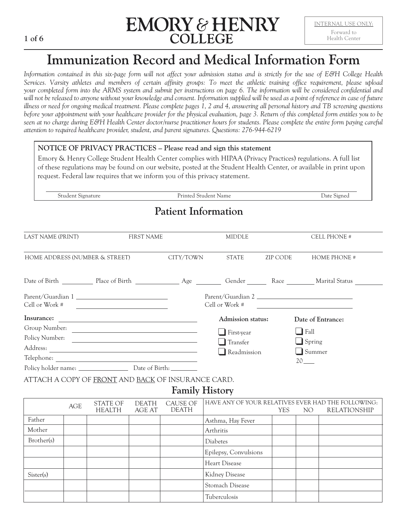

# **Immunization Record and Medical Information Form**

*Information contained in this six-page form will not affect your admission status and is strictly for the use of E&H College Health Services. Varsity athletes and members of certain affinity groups: To meet the athletic training office requirement, please upload your completed form into the [ARMS system](https://www.ehc.edu/live/blurbs/826-student-athlete-online-paperwork-instructions) and submit per instructions on page 6. The information will be considered confidential and*  will not be released to anyone without your knowledge and consent. Information supplied will be used as a point of reference in case of future *illness or need for ongoing medical treatment. Please complete pages 1, 2 and 4, answering all personal history and TB screening questions before your appointment with your healthcare provider for the physical evaluation, page 3. Return of this completed form entitles you to be seen at no charge during E&H Health Center doctor/nurse practitioner hours for students. Please complete the entire form paying careful attention to required healthcare provider, student, and parent signatures. Questions: 276-944-6219*

#### **NOTICE OF PRIVACY PRACTICES – Please read and sign this statement**

Emory & Henry College Student Health Center complies with HIPAA (Privacy Practices) regulations. A full list of these regulations may be found on our website, posted at the Student Health Center, or available in print upon request. Federal law requires that we inform you of this privacy statement.

Student Signature Printed Student Name Date Signed

### **Patient Information**

| LAST NAME (PRINT) | <b>FIRST NAME</b>                                                        |           | <b>MIDDLE</b>             |          | CELL PHONE #                                                           |
|-------------------|--------------------------------------------------------------------------|-----------|---------------------------|----------|------------------------------------------------------------------------|
|                   |                                                                          |           |                           |          |                                                                        |
|                   | HOME ADDRESS (NUMBER & STREET)                                           | CITY/TOWN | STATE                     | ZIP CODE | <b>HOME PHONE #</b>                                                    |
|                   |                                                                          |           |                           |          | Date of Birth Place of Birth Race Marital Status                       |
| Cell or Work #    | Parent/Guardian 1<br><u> 1980 - Andrea Station Barbara, amerikan per</u> |           | Cell or Work #            |          | Parent/Guardian 2<br><u> 1989 - Jan Stein, Amerikaansk politiker (</u> |
| Insurance:        |                                                                          |           | Admission status:         |          | Date of Entrance:                                                      |
|                   | Group Number:                                                            |           | $\blacksquare$ First-year |          | Fall<br>- 1                                                            |
| Policy Number:    | <u> 1990 - Johann Barn, amerikansk politiker (</u>                       |           | $\Box$ Transfer           |          | $\Box$ Spring                                                          |
|                   |                                                                          |           | Readmission               |          | $\Box$ Summer                                                          |
|                   |                                                                          |           |                           |          | $20$ —                                                                 |
|                   | Policy holder name: Date of Birth:                                       |           |                           |          |                                                                        |

ATTACH A COPY OF FRONT AND BACK OF INSURANCE CARD.

### **Family History**

|            | AGE | STATE OF<br><b>HEALTH</b> | <b>DEATH</b><br>AGE AT | CAUSE OF<br><b>DEATH</b> | HAVE ANY OF YOUR RELATIVES EVER HAD THE FOLLOWING: | <b>YES</b> | NO. | <b>RELATIONSHIP</b> |
|------------|-----|---------------------------|------------------------|--------------------------|----------------------------------------------------|------------|-----|---------------------|
| Father     |     |                           |                        |                          | Asthma, Hay Fever                                  |            |     |                     |
| Mother     |     |                           |                        |                          | Arthritis                                          |            |     |                     |
| Brother(s) |     |                           |                        |                          | Diabetes                                           |            |     |                     |
|            |     |                           |                        |                          | Epilepsy, Convulsions                              |            |     |                     |
|            |     |                           |                        |                          | Heart Disease                                      |            |     |                     |
| Sister(s)  |     |                           |                        |                          | Kidney Disease                                     |            |     |                     |
|            |     |                           |                        |                          | Stomach Disease                                    |            |     |                     |
|            |     |                           |                        |                          | Tuberculosis                                       |            |     |                     |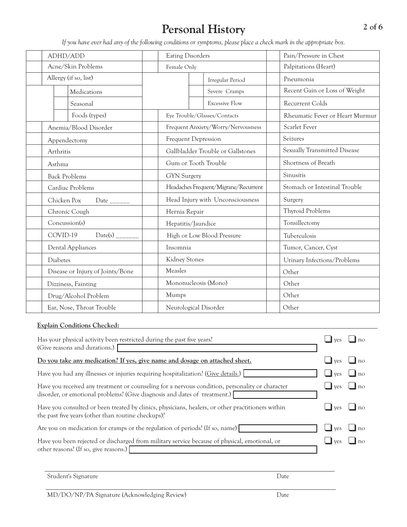# **Personal History**

*If you have ever had any of the following conditions or symptoms, please place a check mark in the appropriate box.*

| ADHD/ADD                                   | <b>Eating Disorders</b> |                                      | Pain/Pressure in Chest          |  |
|--------------------------------------------|-------------------------|--------------------------------------|---------------------------------|--|
| Acne/Skin Problems                         | Female Only             |                                      | Palpitations (Heart)            |  |
| Allergy (if so, list)                      |                         | Irregular Period                     | Pneumonia                       |  |
| Medications                                |                         | Severe Cramps                        | Recent Gain or Loss of Weight   |  |
| Seasonal                                   |                         | <b>Excessive Flow</b>                | Recurrent Colds                 |  |
| Foods (types)                              |                         | Eye Trouble/Glasses/Contacts         | Rheumatic Fever or Heart Murmur |  |
| Anemia/Blood Disorder                      |                         | Frequent Anxiety/Worry/Nervousness   | Scarlet Fever                   |  |
| Appendectomy                               | Frequent Depression     |                                      | Seizures                        |  |
| Arthritis                                  |                         | Gallbladder Trouble or Gallstones    | Sexually Transmitted Disease    |  |
| Gum or Tooth Trouble<br>Asthma             |                         |                                      | Shortness of Breath             |  |
| <b>Back Problems</b><br><b>GYN</b> Surgery |                         |                                      | Sinusitis                       |  |
| Cardiac Problems                           |                         | Headaches Frequent/Migrane/Recurrent | Stomach or Intestinal Trouble   |  |
| Chicken Pox<br>Date $\_{$                  |                         | Head Injury with Unconsciousness     | Surgery                         |  |
| Chronic Cough                              | Hernia Repair           |                                      | Thyroid Problems                |  |
| Concussion(s)                              | Hepatitis/Jaundice      |                                      | Tonsillectomy                   |  |
| COVID-19<br>$Date(s)$ <sub>___</sub>       |                         | High or Low Blood Pressure           | Tuberculosis                    |  |
| Dental Appliances                          | Insomnia                |                                      | Tumor, Cancer, Cyst             |  |
| Diabetes                                   | Kidney Stones           |                                      | Urinary Infections/Problems     |  |
| Disease or Injury of Joints/Bone           | Measles                 |                                      | Other                           |  |
| Dizziness, Fainting                        | Mononucleosis (Mono)    |                                      | Other                           |  |
| Drug/Alcohol Problem                       | Mumps                   |                                      | Other                           |  |
| Ear, Nose, Throat Trouble                  | Neurological Disorder   |                                      | Other                           |  |

#### **Explain Conditions Checked:**

| Has your physical activity been restricted during the past five years?<br>(Give reasons and durations.)                                                                      |                    |                |
|------------------------------------------------------------------------------------------------------------------------------------------------------------------------------|--------------------|----------------|
| Do you take any medication? If yes, give name and dosage on attached sheet.                                                                                                  | ves                | n <sub>0</sub> |
| Have you had any illnesses or injuries requiring hospitalization? (Give details.)                                                                                            | $\blacksquare$ ves | no             |
| Have you received any treatment or counseling for a nervous condition, personality or character<br>disorder, or emotional problems? (Give diagnosis and dates of treatment.) | $\blacksquare$ ves | I no           |
| Have you consulted or been treated by clinics, physicians, healers, or other practitioners within<br>the past five years (other than routine checkups)?                      | <b>ves</b>         | n <sub>O</sub> |
| Are you on medication for cramps or the regulation of periods? (If so, name)                                                                                                 | ves                | n <sub>0</sub> |
| Have you been rejected or discharged from military service because of physical, emotional, or<br>other reasons? (If so, give reasons.)                                       | ves                |                |

Student's Signature Date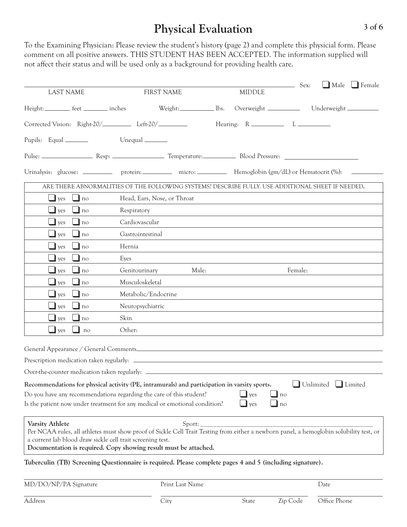## **Physical Evaluation**

To the Examining Physician: Please review the student's history (page 2) and complete this physicial form. Please comment on all positive answers. THIS STUDENT HAS BEEN ACCEPTED. The information supplied will not affect their status and will be used only as a background for providing health care.

|                         |                                           |                                                                        |                                                                                                               |       |               | Sex:    | $\Box$ Male $\Box$ Female                                                                                                               |
|-------------------------|-------------------------------------------|------------------------------------------------------------------------|---------------------------------------------------------------------------------------------------------------|-------|---------------|---------|-----------------------------------------------------------------------------------------------------------------------------------------|
|                         | <b>LAST NAME</b>                          |                                                                        | <b>FIRST NAME</b>                                                                                             |       | <b>MIDDLE</b> |         |                                                                                                                                         |
|                         | Height: __________ feet __________ inches |                                                                        | Weight:______________________ lbs.                                                                            |       |               |         | Underweight                                                                                                                             |
|                         |                                           | Corrected Vision: Right-20/____________ Left-20/________               |                                                                                                               |       |               |         |                                                                                                                                         |
| Pupils: Equal _________ |                                           | Unequal $\_\_\_\_\_\_\_\_\_\_\_\_\_\_\_\_\_\_\_\_\_\_\_\_\_\_\_\_\_\_$ |                                                                                                               |       |               |         |                                                                                                                                         |
|                         |                                           |                                                                        |                                                                                                               |       |               |         |                                                                                                                                         |
|                         |                                           |                                                                        |                                                                                                               |       |               |         |                                                                                                                                         |
|                         |                                           |                                                                        | Urinalysis: glucose: ___________ protein: __________ micro: ___________ Hemoglobin (gm/dL) or Hematocrit (%): |       |               |         |                                                                                                                                         |
|                         |                                           |                                                                        | ARE THERE ABNORMALITIES OF THE FOLLOWING SYSTEMS? DESCRIBE FULLY. USE ADDITIONAL SHEET IF NEEDED.             |       |               |         |                                                                                                                                         |
| $\Box$ yes              | $\Box$ no                                 |                                                                        | Head, Ears, Nose, or Throat                                                                                   |       |               |         |                                                                                                                                         |
| $\Box$ yes              | $\Box$ no                                 | Respiratory                                                            |                                                                                                               |       |               |         |                                                                                                                                         |
| $\Box$ yes              | $\ln 0$                                   | Cardiovascular                                                         |                                                                                                               |       |               |         |                                                                                                                                         |
| $\Box$ yes              | $\Box$ no                                 | Gastrointestinal                                                       |                                                                                                               |       |               |         |                                                                                                                                         |
| $\Box$ yes              | $\ln 0$                                   | Hernia                                                                 |                                                                                                               |       |               |         |                                                                                                                                         |
| $\Box$ yes              | $\Box$ no                                 | Eyes                                                                   |                                                                                                               |       |               |         |                                                                                                                                         |
| $\Box$ yes              | $\Box$ no                                 | Genitourinary                                                          |                                                                                                               | Male: |               | Female: |                                                                                                                                         |
| $\Box$ yes              | $\ln 0$                                   | Musculoskeletal                                                        |                                                                                                               |       |               |         |                                                                                                                                         |
| $\Box$ yes              | $\Box$ no                                 |                                                                        | Metabolic/Endocrine                                                                                           |       |               |         |                                                                                                                                         |
| $\Box$ yes              | $\ln$                                     | Neuropsychiatric                                                       |                                                                                                               |       |               |         |                                                                                                                                         |
| $\Box$ yes              | $\Box$ no                                 | Skin                                                                   |                                                                                                               |       |               |         |                                                                                                                                         |
| $\Box$ yes              | $\Box$ no                                 | Other:                                                                 |                                                                                                               |       |               |         |                                                                                                                                         |
|                         |                                           |                                                                        |                                                                                                               |       |               |         |                                                                                                                                         |
|                         |                                           |                                                                        |                                                                                                               |       |               |         |                                                                                                                                         |
|                         |                                           |                                                                        |                                                                                                               |       |               |         |                                                                                                                                         |
|                         |                                           |                                                                        |                                                                                                               |       |               |         |                                                                                                                                         |
|                         |                                           |                                                                        | Recommendations for physical activity (PE, intramurals) and participation in varsity sports.                  |       |               |         | Unlimited Limited                                                                                                                       |
|                         |                                           |                                                                        | Do you have any recommendations regarding the care of this student?                                           |       | ves           | no      |                                                                                                                                         |
|                         |                                           |                                                                        | Is the patient now under treatment for any medical or emotional condition?                                    |       | ves           | no      |                                                                                                                                         |
| <b>Varsity Athlete</b>  |                                           |                                                                        | $Sport:$ <sub>--</sub>                                                                                        |       |               |         |                                                                                                                                         |
|                         |                                           |                                                                        |                                                                                                               |       |               |         | Per NCAA rules, all athletes must show proof of Sickle Cell Trait Testing from either a newborn panel, a hemoglobin solubility test, or |
|                         |                                           | a current lab blood draw sickle cell trait screening test.             | Documentation is required. Copy showing result must be attached.                                              |       |               |         |                                                                                                                                         |
|                         |                                           |                                                                        |                                                                                                               |       |               |         |                                                                                                                                         |
|                         |                                           |                                                                        | Tuberculin (TB) Screening Questionnaire is required. Please complete pages 4 and 5 (including signature).     |       |               |         |                                                                                                                                         |
|                         | MD/DO/NP/PA Signature                     |                                                                        | Print Last Name                                                                                               |       |               |         | Date                                                                                                                                    |

| MD/DO/NP/PA Signature | Print Last Name |       | Date     |              |  |
|-----------------------|-----------------|-------|----------|--------------|--|
|                       |                 |       |          |              |  |
| Address               | Citv            | State | Zip Code | Office Phone |  |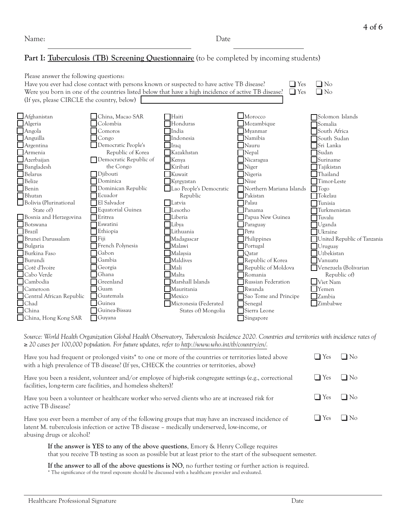#### Part I: Tuberculosis (TB) Screening Questionnaire (to be completed by incoming students)

| Please answer the following questions:     |                        |                                                                                                     |                           |                             |
|--------------------------------------------|------------------------|-----------------------------------------------------------------------------------------------------|---------------------------|-----------------------------|
|                                            |                        | Have you ever had close contact with persons known or suspected to have active TB disease?          | $\Box$ Yes                | N <sub>0</sub>              |
|                                            |                        | Were you born in one of the countries listed below that have a high incidence of active TB disease? | $\Box$ Yes                | $\square$ No                |
| (If yes, please CIRCLE the country, below) |                        |                                                                                                     |                           |                             |
|                                            |                        |                                                                                                     |                           |                             |
| Afghanistan                                | China, Macao SAR       | $\sqcap$ Haiti                                                                                      | $\Box$ Morocco            | Solomon Islands             |
| Algeria                                    | <b>Colombia</b>        | Honduras                                                                                            | $\Box$ Mozambique         | Somalia                     |
| Angola                                     | $\Box$ Comoros         | <b>I</b> India                                                                                      | Myanmar                   | South Africa                |
| Anguilla                                   | $\Box$ Congo           | Indonesia                                                                                           | Namibia                   | South Sudan                 |
| Argentina                                  | Democratic People's    | Iraq                                                                                                | Nauru                     | Sri Lanka                   |
| Armenia                                    | Republic of Korea      | Kazakhstan                                                                                          | $\Box$ Nepal              | Sudan                       |
| Azerbaijan                                 | Democratic Republic of | Kenya                                                                                               | Nicaragua                 | Suriname                    |
| Bangladesh                                 | the Congo              | Kiribati                                                                                            | $\Box$ Niger              | Tajikistan                  |
| Belarus                                    | $\Box$ Djibouti        | Kuwait                                                                                              | $\Box$ Nigeria            | $\Box$ Thailand             |
| Belize                                     | $\Box$ Dominica        | Kyrgyzstan                                                                                          | $\Box$ Niue               | Timor-Leste                 |
| Benin                                      | Dominican Republic     | Lao People's Democratic                                                                             | Northern Mariana Islands  | $\bigcap$ Togo              |
| Bhutan                                     | $\mathsf{T}$ Ecuador   | Republic                                                                                            | Pakistan                  | $\mathsf{T}$ okelau         |
| Bolivia (Plurinational                     | $\Box$ El Salvador     | Latvia                                                                                              | $\sqcap$ Palau            | Tunisia                     |
| State of                                   | Equatorial Guinea      | Lesotho                                                                                             | Panama                    | Turkmenistan                |
| Bosnia and Herzegovina                     | $\Box$ Eritrea         | Liberia                                                                                             | Papua New Guinea          | $\mathsf{Tuvalu}$           |
| Botswana                                   | Eswatini               | Libya                                                                                               | Paraguay                  | Uganda                      |
| Brazil                                     | Ethiopia               | Lithuania                                                                                           | $\mathsf{Peru}$           | Ukraine                     |
| Brunei Darussalam                          | $\sqcap$ Fiji          | Madagascar                                                                                          | $\Box$ Philippines        | United Republic of Tanzania |
| Bulgaria                                   | French Polynesia       | Malawi                                                                                              | Portugal                  | $\exists$ Uruguay           |
| Burkina Faso                               | $\sqcap$ Gabon         | Malaysia                                                                                            | Qatar                     | <b>Uzbekistan</b>           |
| Burundi                                    | $\Box$ Gambia          | Maldives                                                                                            | Republic of Korea         | $\Box$ Vanuatu              |
| Cotê d'Ivoire                              | Georgia                | Mali                                                                                                | Republic of Moldova       | Venezuela (Bolivarian       |
| Cabo Verde                                 | $\sqcap$ Ghana         | Malta                                                                                               | Romania                   | Republic of)                |
| Cambodia                                   | Greenland              | Marshall Islands                                                                                    | <b>Russian Federation</b> | Viet Nam                    |
| Cameroon                                   | $\sqcap$ Guam          | Mauritania                                                                                          | Rwanda                    | $\mathbb{Y}$ emen           |
| Central African Republic                   | $\Box$ Guatemala       | Mexico                                                                                              | Sao Tome and Principe     | Zambia                      |
| Chad                                       | Guinea                 | Micronesia (Federated                                                                               | Senegal                   | Zimbabwe                    |
| China                                      | Guinea-Bissau          | States of) Mongolia                                                                                 | Sierra Leone              |                             |
| China, Hong Kong SAR                       | $\Box$ Guyana          |                                                                                                     | Singapore                 |                             |
|                                            |                        |                                                                                                     |                           |                             |

*Source: World Health Organization Global Health Observatory, Tuberculosis Incidence 2020. Countries and territories with incidence rates of*  ≥ *20 cases per 100,000 population. For future updates, refer to [http://www.who.int/tb/country/en/.](https://www.who.int/teams/global-tuberculosis-programme/data)*

| Have you had frequent or prolonged visits <sup>*</sup> to one or more of the countries or territories listed above<br>with a high prevalence of TB disease? (If yes, CHECK the countries or territories, above)                  | $\Box$ Yes | N <sub>0</sub> |
|----------------------------------------------------------------------------------------------------------------------------------------------------------------------------------------------------------------------------------|------------|----------------|
| Have you been a resident, volunteer and/or employee of high-risk congregate settings (e.g., correctional<br>facilities, long-term care facilities, and homeless shelters)?                                                       | $\Box$ Yes | $\Box$ No      |
| Have you been a volunteer or healthcare worker who served clients who are at increased risk for<br>active TB disease?                                                                                                            | $\Box$ Yes | $N_0$          |
| Have you ever been a member of any of the following groups that may have an increased incidence of<br>latent M. tuberculosis infection or active TB disease - medically underserved, low-income, or<br>abusing drugs or alcohol? | $\Box$ Yes | $N_{\Omega}$   |

**If the answer is YES to any of the above questions**, Emory & Henry College requires that you receive TB testing as soon as possible but at least prior to the start of the subsequent semester.

**If the answer to all of the above questions is NO**, no further testing or further action is required. \* The significance of the travel exposure should be discussed with a healthcare provider and evaluated.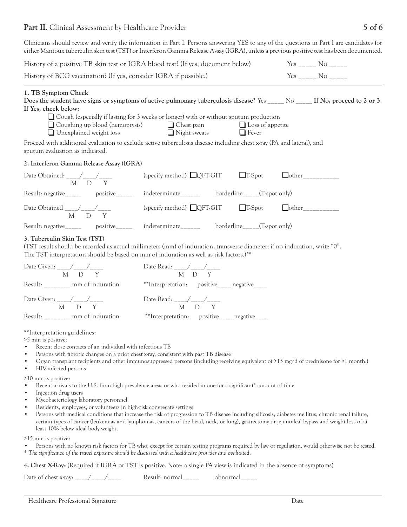### Part II. Clinical Assessment by Healthcare Provider

| Clinicians should review and verify the information in Part I. Persons answering YES to any of the questions in Part I are candidates for<br>either Mantoux tuberculin skin test (TST) or Interferon Gamma Release Assay (IGRA), unless a previous positive test has been documented. |                                                                                                                                                                                                                                                                                                                                                                                                                        |                                         |                                                                                                                                |
|---------------------------------------------------------------------------------------------------------------------------------------------------------------------------------------------------------------------------------------------------------------------------------------|------------------------------------------------------------------------------------------------------------------------------------------------------------------------------------------------------------------------------------------------------------------------------------------------------------------------------------------------------------------------------------------------------------------------|-----------------------------------------|--------------------------------------------------------------------------------------------------------------------------------|
| History of a positive TB skin test or IGRA blood test? (If yes, document below)                                                                                                                                                                                                       |                                                                                                                                                                                                                                                                                                                                                                                                                        |                                         | $Yes$ ______ No _____                                                                                                          |
| History of BCG vaccination? (If yes, consider IGRA if possible.)                                                                                                                                                                                                                      |                                                                                                                                                                                                                                                                                                                                                                                                                        |                                         | Yes ______ No _____                                                                                                            |
| 1. TB Symptom Check<br>If Yes, check below:<br>$\Box$ Coughing up blood (hemoptysis)<br>$\Box$ Unexplained weight loss<br>Proceed with additional evaluation to exclude active tuberculosis disease including chest x-ray (PA and lateral), and                                       | $\Box$ Cough (especially if lasting for 3 weeks or longer) with or without sputum production<br>$\Box$ Chest pain<br>Night sweats                                                                                                                                                                                                                                                                                      | $\Box$ Loss of appetite<br>$\Box$ Fever | Does the student have signs or symptoms of active pulmonary tuberculosis disease? Yes _____ No _____ If No, proceed to 2 or 3. |
| sputum evaluation as indicated.                                                                                                                                                                                                                                                       |                                                                                                                                                                                                                                                                                                                                                                                                                        |                                         |                                                                                                                                |
| 2. Interferon Gamma Release Assay (IGRA)                                                                                                                                                                                                                                              |                                                                                                                                                                                                                                                                                                                                                                                                                        |                                         |                                                                                                                                |
| Date Obtained: ___/___/____<br>$M$ D Y                                                                                                                                                                                                                                                | (specify method) $\Box$ QFT-GIT                                                                                                                                                                                                                                                                                                                                                                                        | $\Box$ T-Spot                           | $\Box$ other                                                                                                                   |
| Result: negative______ positive_____                                                                                                                                                                                                                                                  | indeterminate______ borderline____(T-spot only)                                                                                                                                                                                                                                                                                                                                                                        |                                         |                                                                                                                                |
| Date Obtained ___/___/___<br>$M$ D Y                                                                                                                                                                                                                                                  | $(specify method) \nQFT-GIT \nT-Spot$                                                                                                                                                                                                                                                                                                                                                                                  |                                         |                                                                                                                                |
| Result: negative_____ positive_____                                                                                                                                                                                                                                                   | indeterminate______ borderline____(T-spot only)                                                                                                                                                                                                                                                                                                                                                                        |                                         |                                                                                                                                |
| 3. Tuberculin Skin Test (TST)<br>(TST result should be recorded as actual millimeters (mm) of induration, transverse diameter; if no induration, write "0".<br>The TST interpretation should be based on mm of induration as well as risk factors.)**                                 |                                                                                                                                                                                                                                                                                                                                                                                                                        |                                         |                                                                                                                                |
| Date Given: $\frac{1}{M}$ D Y                                                                                                                                                                                                                                                         |                                                                                                                                                                                                                                                                                                                                                                                                                        |                                         |                                                                                                                                |
| Result: ________ mm of induration                                                                                                                                                                                                                                                     | **Interpretation: positive____ negative____                                                                                                                                                                                                                                                                                                                                                                            |                                         |                                                                                                                                |
| Date Given: $\frac{1}{M}$ D $\frac{1}{Y}$                                                                                                                                                                                                                                             |                                                                                                                                                                                                                                                                                                                                                                                                                        |                                         |                                                                                                                                |
| Result: ________ mm of induration                                                                                                                                                                                                                                                     | **Interpretation: positive____ negative____                                                                                                                                                                                                                                                                                                                                                                            |                                         |                                                                                                                                |
| **Interpretation guidelines:<br>>5 mm is positive:<br>Recent close contacts of an individual with infectious TB<br>$\bullet$<br>$\bullet$<br>HIV-infected persons<br>$\bullet$                                                                                                        | Persons with fibrotic changes on a prior chest x-ray, consistent with past TB disease<br>Organ transplant recipients and other immunosuppressed persons (including receiving equivalent of >15 mg/d of prednisone for >1 month.)                                                                                                                                                                                       |                                         |                                                                                                                                |
| >10 mm is positive:<br>$\bullet$<br>Injection drug users<br>$\bullet$<br>Mycobacteriology laboratory personnel<br>$\bullet$<br>Residents, employees, or volunteers in high-risk congregate settings<br>$\bullet$<br>$\bullet$<br>least 10% below ideal body weight.                   | Recent arrivals to the U.S. from high prevalence areas or who resided in one for a significant* amount of time<br>Persons with medical conditions that increase the risk of progression to TB disease including silicosis, diabetes mellitus, chronic renal failure,<br>certain types of cancer (leukemias and lymphomas, cancers of the head, neck, or lung), gastrectomy or jejunoileal bypass and weight loss of at |                                         |                                                                                                                                |
| >15 mm is positive:<br>* The significance of the travel exposure should be discussed with a healthcare provider and evaluated.                                                                                                                                                        | Persons with no known risk factors for TB who, except for certain testing programs required by law or regulation, would otherwise not be tested.                                                                                                                                                                                                                                                                       |                                         |                                                                                                                                |
| 4. Chest X-Ray: (Required if IGRA or TST is positive. Note: a single PA view is indicated in the absence of symptoms)                                                                                                                                                                 |                                                                                                                                                                                                                                                                                                                                                                                                                        |                                         |                                                                                                                                |
| Date of chest x-ray: ___/___/___                                                                                                                                                                                                                                                      | Result: normal_____                                                                                                                                                                                                                                                                                                                                                                                                    | abnormal_____                           |                                                                                                                                |